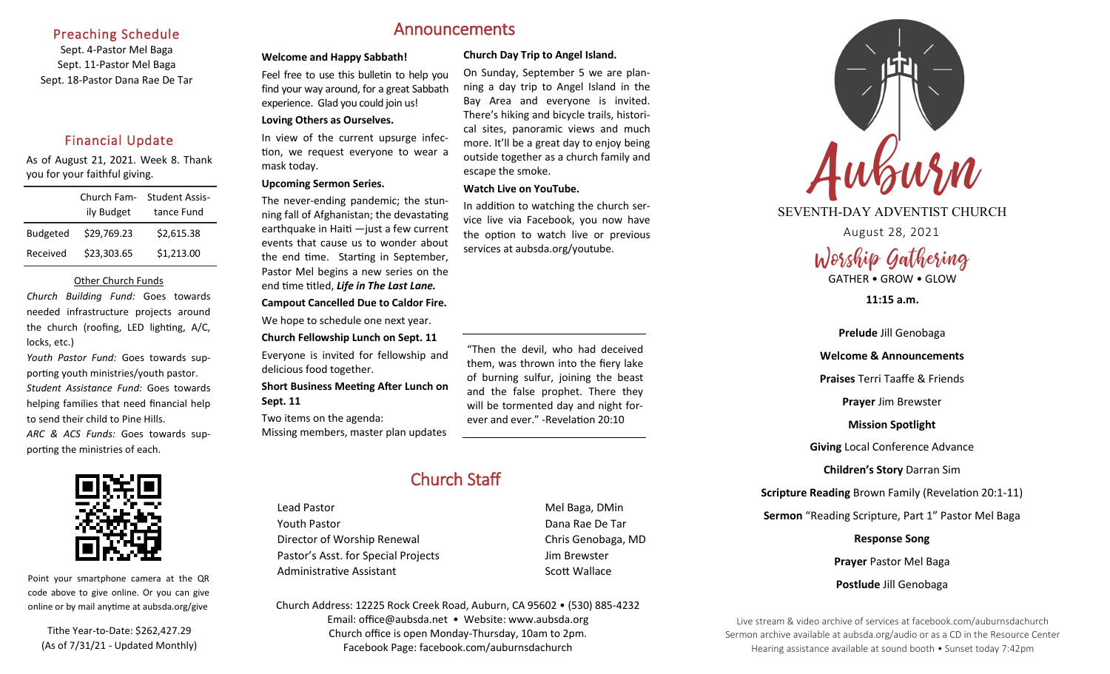#### Preaching Schedule

Sept. 4-Pastor Mel Baga Sept. 11-Pastor Mel Baga Sept. 18-Pastor Dana Rae De Tar

### Financial Update

As of August 21, 2021. Week 8. Thank you for your faithful giving.

|                 | Church Fam-<br>ily Budget | <b>Student Assis-</b><br>tance Fund |
|-----------------|---------------------------|-------------------------------------|
|                 |                           |                                     |
| <b>Budgeted</b> | \$29,769.23               | \$2,615.38                          |
| Received        | \$23,303.65               | \$1,213.00                          |

#### Other Church Funds

*Church Building Fund:* Goes towards needed infrastructure projects around the church (roofing, LED lighting, A/C, locks, etc.)

*Youth Pastor Fund:* Goes towards supporting youth ministries/youth pastor.

*Student Assistance Fund:* Goes towards helping families that need financial help to send their child to Pine Hills.

*ARC & ACS Funds:* Goes towards supporting the ministries of each.



Point your smartphone camera at the QR code above to give online. Or you can give online or by mail anytime at aubsda.org/give

Tithe Year-to-Date: \$262,427.29 (As of 7/31/21 - Updated Monthly)

# Announcements

#### **Welcome and Happy Sabbath! Church Day Trip to Angel Island.**

escape the smoke.

**Watch Live on YouTube.** 

Feel free to use this bulletin to help you find your way around, for a great Sabbath experience. Glad you could join us! **Loving Others as Ourselves.**

In view of the current upsurge infection, we request everyone to wear a mask today.

#### **Upcoming Sermon Series.**

The never-ending pandemic; the stunning fall of Afghanistan; the devastating earthquake in Haiti —just a few current events that cause us to wonder about the end time. Starting in September, Pastor Mel begins a new series on the end time titled, *Life in The Last Lane.*

#### **Campout Cancelled Due to Caldor Fire.**

We hope to schedule one next year.

**Church Fellowship Lunch on Sept. 11** Everyone is invited for fellowship and delicious food together.

**Short Business Meeting After Lunch on Sept. 11**

Two items on the agenda: Missing members, master plan updates "Then the devil, who had deceived them, was thrown into the fiery lake of burning sulfur, joining the beast and the false prophet. There they will be tormented day and night forever and ever." -Revelation 20:10

On Sunday, September 5 we are planning a day trip to Angel Island in the Bay Area and everyone is invited. There's hiking and bicycle trails, historical sites, panoramic views and much more. It'll be a great day to enjoy being outside together as a church family and

In addition to watching the church service live via Facebook, you now have the option to watch live or previous

services at aubsda.org/youtube.

# Church Staff

Lead Pastor **Mel Baga**, DMin Youth Pastor Dana Rae De Tar Director of Worship Renewal Chris Genobaga, MD Pastor's Asst. for Special Projects Fig. 3.1 Jim Brewster Administrative Assistant **Scott Wallace** Scott Wallace

Church Address: 12225 Rock Creek Road, Auburn, CA 95602 • (530) 885-4232 Email: office@aubsda.net • Website: www.aubsda.org Church office is open Monday-Thursday, 10am to 2pm. Facebook Page: facebook.com/auburnsdachurch



SEVENTH-DAY ADVENTIST CHURCH

August 28, 2021

Worship Gathering GATHER • GROW • GLOW

**11:15 a.m.**

**Prelude** Jill Genobaga **Welcome & Announcements Praises** Terri Taaffe & Friends **Prayer** Jim Brewster **Mission Spotlight Giving** Local Conference Advance **Children's Story** Darran Sim **Scripture Reading** Brown Family (Revelation 20:1-11) **Sermon** "Reading Scripture, Part 1" Pastor Mel Baga **Response Song Prayer** Pastor Mel Baga **Postlude** Jill Genobaga

Live stream & video archive of services at facebook.com/auburnsdachurch Sermon archive available at aubsda.org/audio or as a CD in the Resource Center Hearing assistance available at sound booth • Sunset today 7:42pm